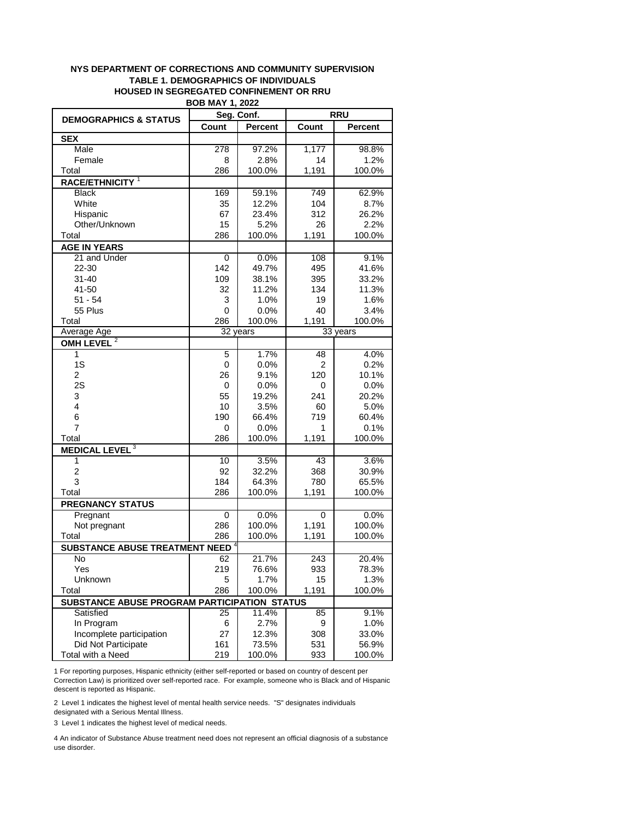## **NYS DEPARTMENT OF CORRECTIONS AND COMMUNITY SUPERVISION TABLE 1. DEMOGRAPHICS OF INDIVIDUALS HOUSED IN SEGREGATED CONFINEMENT OR RRU BOB MAY 1, 2022**

|                                              | DUD MAI I, ZUZZ |                |            |                |
|----------------------------------------------|-----------------|----------------|------------|----------------|
| <b>DEMOGRAPHICS &amp; STATUS</b>             | Seg. Conf.      |                | <b>RRU</b> |                |
|                                              | Count           | <b>Percent</b> | Count      | <b>Percent</b> |
| <b>SEX</b>                                   |                 |                |            |                |
| Male                                         | 278             | 97.2%          | 1,177      | 98.8%          |
| Female                                       | 8               | 2.8%           | 14         | 1.2%           |
| Total                                        | 286             | 100.0%         | 1,191      | 100.0%         |
| RACE/ETHNICITY <sup>1</sup>                  |                 |                |            |                |
| <b>Black</b>                                 | 169             | 59.1%          | 749        | 62.9%          |
| White                                        | 35              | 12.2%          | 104        | 8.7%           |
| Hispanic                                     | 67              | 23.4%          | 312        | 26.2%          |
| Other/Unknown                                | 15              | 5.2%           | 26         | 2.2%           |
| Total                                        | 286             | 100.0%         | 1,191      | 100.0%         |
| <b>AGE IN YEARS</b>                          |                 |                |            |                |
| 21 and Under                                 | 0               | 0.0%           | 108        | 9.1%           |
| 22-30                                        | 142             | 49.7%          | 495        | 41.6%          |
| $31 - 40$                                    | 109             | 38.1%          | 395        | 33.2%          |
| 41-50                                        | 32              | 11.2%          | 134        | 11.3%          |
| $51 - 54$                                    | 3               | 1.0%           | 19         | 1.6%           |
| 55 Plus                                      | 0               | 0.0%           | 40         | 3.4%           |
| Total                                        | 286             | 100.0%         | 1,191      | 100.0%         |
| Average Age                                  |                 | 32 years       |            | 33 years       |
| OMH LEVEL <sup>2</sup>                       |                 |                |            |                |
| $\overline{1}$                               | 5               | 1.7%           | 48         | 4.0%           |
| 1S                                           | 0               | 0.0%           | 2          | 0.2%           |
| 2                                            | 26              | 9.1%           | 120        | 10.1%          |
| 2S                                           | 0               | 0.0%           | 0          | 0.0%           |
| 3                                            | 55              | 19.2%          | 241        | 20.2%          |
| $\overline{4}$                               | 10              | 3.5%           | 60         | 5.0%           |
| 6                                            | 190             | 66.4%          | 719        | 60.4%          |
| 7                                            | 0               | 0.0%           | 1          | 0.1%           |
| Total                                        | 286             | 100.0%         | 1,191      | 100.0%         |
| <b>MEDICAL LEVEL<sup>3</sup></b>             |                 |                |            |                |
| 1                                            | 10              | 3.5%           | 43         | 3.6%           |
| $\overline{c}$                               | 92              | 32.2%          | 368        | 30.9%          |
| 3                                            | 184             | 64.3%          | 780        | 65.5%          |
| Total                                        | 286             | 100.0%         | 1,191      | 100.0%         |
| <b>PREGNANCY STATUS</b>                      |                 |                |            |                |
| Pregnant                                     | 0               | 0.0%           | 0          | 0.0%           |
| Not pregnant                                 | 286             | 100.0%         | 1,191      | 100.0%         |
| Total                                        | 286             | 100.0%         | 1,191      | 100.0%         |
| <b>SUBSTANCE ABUSE TREATMENT NEED</b>        |                 |                |            |                |
| No                                           | 62              | 21.7%          | 243        | 20.4%          |
| Yes                                          | 219             | 76.6%          | 933        | 78.3%          |
| Unknown                                      | 5               | 1.7%           | 15         | 1.3%           |
| Total                                        | 286             | 100.0%         | 1,191      | 100.0%         |
| SUBSTANCE ABUSE PROGRAM PARTICIPATION STATUS |                 |                |            |                |
| Satisfied                                    | 25              | 11.4%          | 85         | 9.1%           |
| In Program                                   | 6               | 2.7%           | 9          | 1.0%           |
| Incomplete participation                     | 27              | 12.3%          | 308        | 33.0%          |
| Did Not Participate                          | 161             | 73.5%          | 531        | 56.9%          |
| Total with a Need                            | 219             | 100.0%         | 933        | 100.0%         |
|                                              |                 |                |            |                |

1 For reporting purposes, Hispanic ethnicity (either self-reported or based on country of descent per Correction Law) is prioritized over self-reported race. For example, someone who is Black and of Hispanic descent is reported as Hispanic.

2 Level 1 indicates the highest level of mental health service needs. "S" designates individuals designated with a Serious Mental Illness.

3 Level 1 indicates the highest level of medical needs.

4 An indicator of Substance Abuse treatment need does not represent an official diagnosis of a substance use disorder.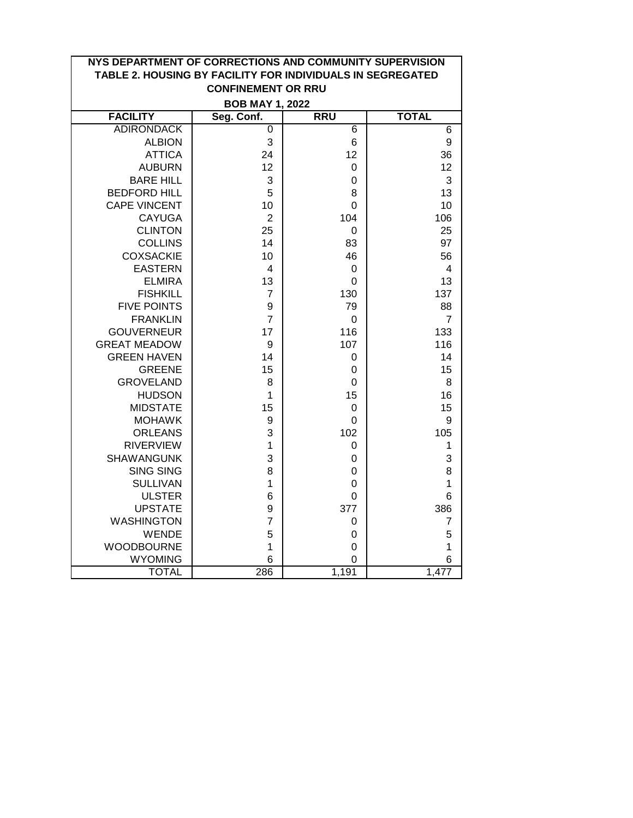| NYS DEPARTMENT OF CORRECTIONS AND COMMUNITY SUPERVISION<br>TABLE 2. HOUSING BY FACILITY FOR INDIVIDUALS IN SEGREGATED |                |             |                |  |  |  |
|-----------------------------------------------------------------------------------------------------------------------|----------------|-------------|----------------|--|--|--|
| <b>CONFINEMENT OR RRU</b>                                                                                             |                |             |                |  |  |  |
| <b>BOB MAY 1, 2022</b>                                                                                                |                |             |                |  |  |  |
| <b>FACILITY</b>                                                                                                       | Seg. Conf.     | <b>RRU</b>  | <b>TOTAL</b>   |  |  |  |
| <b>ADIRONDACK</b>                                                                                                     | $\overline{0}$ | 6           | $\overline{6}$ |  |  |  |
| <b>ALBION</b>                                                                                                         | 3              | 6           | 9              |  |  |  |
| <b>ATTICA</b>                                                                                                         | 24             | 12          | 36             |  |  |  |
| <b>AUBURN</b>                                                                                                         | 12             | $\mathbf 0$ | 12             |  |  |  |
| <b>BARE HILL</b>                                                                                                      | 3              | $\mathbf 0$ | 3              |  |  |  |
| <b>BEDFORD HILL</b>                                                                                                   | 5              | 8           | 13             |  |  |  |
| <b>CAPE VINCENT</b>                                                                                                   | 10             | 0           | 10             |  |  |  |
| <b>CAYUGA</b>                                                                                                         | $\overline{2}$ | 104         | 106            |  |  |  |
| <b>CLINTON</b>                                                                                                        | 25             | 0           | 25             |  |  |  |
| <b>COLLINS</b>                                                                                                        | 14             | 83          | 97             |  |  |  |
| <b>COXSACKIE</b>                                                                                                      | 10             | 46          | 56             |  |  |  |
| <b>EASTERN</b>                                                                                                        | 4              | 0           | 4              |  |  |  |
| <b>ELMIRA</b>                                                                                                         | 13             | $\mathbf 0$ | 13             |  |  |  |
| <b>FISHKILL</b>                                                                                                       | $\overline{7}$ | 130         | 137            |  |  |  |
| <b>FIVE POINTS</b>                                                                                                    | 9              | 79          | 88             |  |  |  |
| <b>FRANKLIN</b>                                                                                                       | $\overline{7}$ | 0           | $\overline{7}$ |  |  |  |
| <b>GOUVERNEUR</b>                                                                                                     | 17             | 116         | 133            |  |  |  |
| <b>GREAT MEADOW</b>                                                                                                   | 9              | 107         | 116            |  |  |  |
| <b>GREEN HAVEN</b>                                                                                                    | 14             | $\mathbf 0$ | 14             |  |  |  |
| <b>GREENE</b>                                                                                                         | 15             | 0           | 15             |  |  |  |
| <b>GROVELAND</b>                                                                                                      | 8              | 0           | 8              |  |  |  |
| <b>HUDSON</b>                                                                                                         | 1              | 15          | 16             |  |  |  |
| <b>MIDSTATE</b>                                                                                                       | 15             | 0           | 15             |  |  |  |
| <b>MOHAWK</b>                                                                                                         | 9              | $\mathbf 0$ | 9              |  |  |  |
| <b>ORLEANS</b>                                                                                                        | 3              | 102         | 105            |  |  |  |
| <b>RIVERVIEW</b>                                                                                                      | $\mathbf{1}$   | $\mathbf 0$ | 1              |  |  |  |
| <b>SHAWANGUNK</b>                                                                                                     | 3              | 0           | 3              |  |  |  |
| <b>SING SING</b>                                                                                                      | 8              | 0           | 8              |  |  |  |
| <b>SULLIVAN</b>                                                                                                       | $\mathbf{1}$   | 0           | 1              |  |  |  |
| <b>ULSTER</b>                                                                                                         | 6              | 0           | 6              |  |  |  |
| <b>UPSTATE</b>                                                                                                        | 9              | 377         | 386            |  |  |  |
| <b>WASHINGTON</b>                                                                                                     | $\overline{7}$ | 0           | $\overline{7}$ |  |  |  |
| <b>WENDE</b>                                                                                                          | 5              | 0           | 5              |  |  |  |
| <b>WOODBOURNE</b>                                                                                                     | $\mathbf 1$    | $\mathbf 0$ | 1              |  |  |  |
| <b>WYOMING</b>                                                                                                        | 6              | $\mathbf 0$ | 6              |  |  |  |
| <b>TOTAL</b>                                                                                                          | 286            | 1,191       | 1,477          |  |  |  |